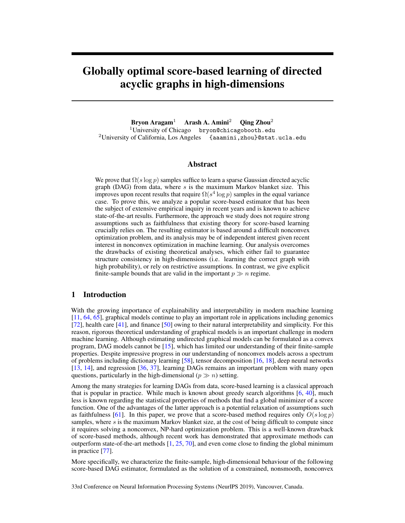# Globally optimal score-based learning of directed acyclic graphs in high-dimensions

<span id="page-0-0"></span>Bryon Aragam<sup>1</sup> Arash A. Amini<sup>2</sup> Qing Zhou<sup>2</sup> <sup>1</sup>University of Chicago bryon@chicagobooth.edu <sup>2</sup>University of California, Los Angeles {aaamini, zhou}@stat.ucla.edu

# <span id="page-0-1"></span>Abstract

<span id="page-0-4"></span>We prove that  $\Omega(s \log p)$  samples suffice to learn a sparse Gaussian directed acyclic graph (DAG) from data, where *s* is the maximum Markov blanket size. This improves upon recent results that require  $\Omega(s^4 \log p)$  samples in the equal variance case. To prove this, we analyze a popular score-based estimator that has been the subject of extensive empirical inquiry in recent years and is known to achieve state-of-the-art results. Furthermore, the approach we study does not require strong assumptions such as faithfulness that existing theory for score-based learning crucially relies on. The resulting estimator is based around a difficult nonconvex optimization problem, and its analysis may be of independent interest given recent interest in nonconvex optimization in machine learning. Our analysis overcomes the drawbacks of existing theoretical analyses, which either fail to guarantee structure consistency in high-dimensions (i.e. learning the correct graph with high probability), or rely on restrictive assumptions. In contrast, we give explicit finite-sample bounds that are valid in the important  $p \gg n$  regime.

# 1 Introduction

<span id="page-0-2"></span>With the growing importance of explainability and interpretability in modern machine learning [\[11,](#page-8-0) [64,](#page-11-0) [65\]](#page-11-1), graphical models continue to play an important role in applications including genomics [\[72\]](#page-12-0), health care [\[41\]](#page-10-0), and finance [\[50\]](#page-10-1) owing to their natural interpretability and simplicity. For this reason, rigorous theoretical understanding of graphical models is an important challenge in modern machine learning. Although estimating undirected graphical models can be formulated as a convex program, DAG models cannot be [\[15\]](#page-9-0), which has limited our understanding of their finite-sample properties. Despite impressive progress in our understanding of nonconvex models across a spectrum of problems including dictionary learning [\[58\]](#page-11-2), tensor decomposition [\[16,](#page-9-1) [18\]](#page-9-2), deep neural networks [\[13,](#page-8-1) [14\]](#page-8-2), and regression [\[36,](#page-10-2) [37\]](#page-10-3), learning DAGs remains an important problem with many open questions, particularly in the high-dimensional ( $p \gg n$ ) setting.

<span id="page-0-3"></span>Among the many strategies for learning DAGs from data, score-based learning is a classical approach that is popular in practice. While much is known about greedy search algorithms [\[6,](#page-8-3) [40\]](#page-10-4), much less is known regarding the statistical properties of methods that find a global minimizer of a score function. One of the advantages of the latter approach is a potential relaxation of assumptions such as faithfulness [\[61\]](#page-11-3). In this paper, we prove that a score-based method requires only  $O(s \log p)$ samples, where *s* is the maximum Markov blanket size, at the cost of being difficult to compute since it requires solving a nonconvex, NP-hard optimization problem. This is a well-known drawback of score-based methods, although recent work has demonstrated that approximate methods can outperform state-of-the-art methods  $[1, 25, 70]$  $[1, 25, 70]$  $[1, 25, 70]$  $[1, 25, 70]$  $[1, 25, 70]$ , and even come close to finding the global minimum in practice [\[77\]](#page-12-1).

More specifically, we characterize the finite-sample, high-dimensional behaviour of the following score-based DAG estimator, formulated as the solution of a constrained, nonsmooth, nonconvex

33rd Conference on Neural Information Processing Systems (NeurIPS 2019), Vancouver, Canada.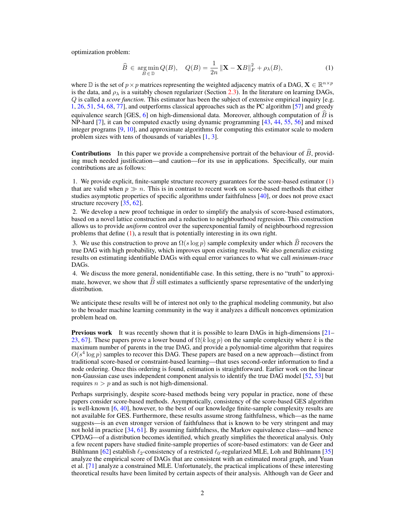optimization problem:

<span id="page-1-0"></span>
$$
\widehat{B} \in \underset{B \in \mathbb{D}}{\operatorname{arg\,min}} Q(B), \quad Q(B) = \frac{1}{2n} \left\| \mathbf{X} - \mathbf{X}B \right\|_{F}^{2} + \rho_{\lambda}(B),\tag{1}
$$

where D is the set of  $p \times p$  matrices representing the weighted adjacency matrix of a DAG,  $\mathbf{X} \in \mathbb{R}^{n \times p}$ is the data, and  $\rho_{\lambda}$  is a suitably chosen regularizer (Section [2.3\)](#page-3-0). In the literature on learning DAGs, *Q* is called a *score function*. This estimator has been the subject of extensive empirical inquiry [e.g. [1,](#page-8-4) [26,](#page-9-4) [51,](#page-10-5) [54,](#page-11-5) [68,](#page-11-6) [77\]](#page-12-1), and outperforms classical approaches such as the PC algorithm [\[57\]](#page-11-7) and greedy equivalence search [GES,  $6$ ] on high-dimensional data. Moreover, although computation of *B* is NP-hard [\[7\]](#page-8-5), it can be computed exactly using dynamic programming [\[43,](#page-10-6) [44,](#page-10-7) [55,](#page-11-8) [56\]](#page-11-9) and mixed integer programs [\[9,](#page-8-6) [10\]](#page-8-7), and approximate algorithms for computing this estimator scale to modern problem sizes with tens of thousands of variables [\[1,](#page-8-4) [3\]](#page-8-8).

**Contributions** In this paper we provide a comprehensive portrait of the behaviour of  $\hat{B}$ , providing much needed justification—and caution—for its use in applications. Specifically, our main contributions are as follows:

1. We provide explicit, finite-sample structure recovery guarantees for the score-based estimator [\(1\)](#page-1-0) that are valid when  $p \gg n$ . This is in contrast to recent work on score-based methods that either studies asymptotic properties of specific algorithms under faithfulness [\[40\]](#page-10-4), or does not prove exact structure recovery [\[35,](#page-10-8) [62\]](#page-11-10).

2. We develop a new proof technique in order to simplify the analysis of score-based estimators, based on a novel lattice construction and a reduction to neighbourhood regression. This construction allows us to provide *uniform* control over the superexponential family of neighbourhood regression problems that define  $(1)$ , a result that is potentially interesting in its own right.

3. We use this construction to prove an  $\Omega(s \log p)$  sample complexity under which *B* recovers the true DAG with high probability, which improves upon existing results. We also generalize existing results on estimating identifiable DAGs with equal error variances to what we call *minimum-trace* DAGs.

4. We discuss the more general, nonidentifiable case. In this setting, there is no "truth" to approximate, however, we show that  $\hat{B}$  still estimates a sufficiently sparse representative of the underlying distribution.

We anticipate these results will be of interest not only to the graphical modeling community, but also to the broader machine learning community in the way it analyzes a difficult nonconvex optimization problem head on.

**Previous work** It was recently shown that it is possible to learn DAGs in high-dimensions  $[2]-$ [23,](#page-9-6) [67\]](#page-11-11). These papers prove a lower bound of  $\Omega(k \log p)$  on the sample complexity where k is the maximum number of parents in the true DAG, and provide a polynomial-time algorithm that requires  $O(s<sup>4</sup> \log p)$  samples to recover this DAG. These papers are based on a new approach—distinct from traditional score-based or constraint-based learning—that uses second-order information to find a node ordering. Once this ordering is found, estimation is straightforward. Earlier work on the linear non-Gaussian case uses independent component analysis to identify the true DAG model [\[52,](#page-10-9) [53\]](#page-11-12) but requires  $n > p$  and as such is not high-dimensional.

Perhaps surprisingly, despite score-based methods being very popular in practice, none of these papers consider score-based methods. Asymptotically, consistency of the score-based GES algorithm is well-known [\[6,](#page-8-3) [40\]](#page-10-4), however, to the best of our knowledge finite-sample complexity results are not available for GES. Furthermore, these results assume strong faithfulness, which—as the name suggests—is an even stronger version of faithfulness that is known to be very stringent and may not hold in practice [\[34,](#page-10-10) [61\]](#page-11-3). By assuming faithfulness, the Markov equivalence class—and hence CPDAG—of a distribution becomes identified, which greatly simplifies the theoretical analysis. Only a few recent papers have studied finite-sample properties of score-based estimators: van de Geer and Bühlmann [\[62\]](#page-11-10) establish  $\ell_2$ -consistency of a restricted  $\ell_0$ -regularized MLE, Loh and Bühlmann [\[35\]](#page-10-8) analyze the empirical score of DAGs that are consistent with an estimated moral graph, and Yuan et al. [\[71\]](#page-11-13) analyze a constrained MLE. Unfortunately, the practical implications of these interesting theoretical results have been limited by certain aspects of their analysis. Although van de Geer and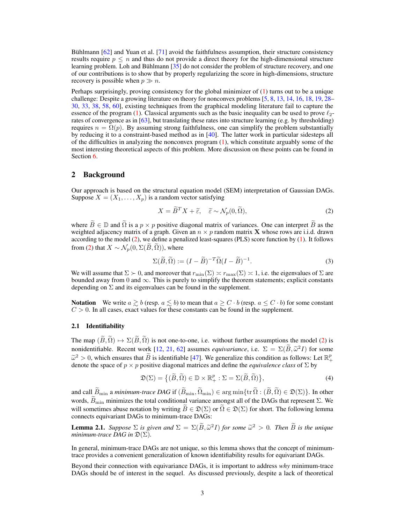Bühlmann [\[62\]](#page-11-10) and Yuan et al. [\[71\]](#page-11-13) avoid the faithfulness assumption, their structure consistency results require  $p \leq n$  and thus do not provide a direct theory for the high-dimensional structure learning problem. Loh and Bühlmann [\[35\]](#page-10-8) do not consider the problem of structure recovery, and one of our contributions is to show that by properly regularizing the score in high-dimensions, structure recovery is possible when  $p \gg n$ .

Perhaps surprisingly, proving consistency for the global minimizer of [\(1\)](#page-1-0) turns out to be a unique challenge: Despite a growing literature on theory for nonconvex problems [\[5,](#page-8-9) [8,](#page-8-10) [13,](#page-8-1) [14,](#page-8-2) [16,](#page-9-1) [18,](#page-9-2) [19,](#page-9-7) [28–](#page-9-8) [30,](#page-9-9) [33,](#page-10-11) [38,](#page-10-12) [58,](#page-11-2) [60\]](#page-11-14), existing techniques from the graphical modeling literature fail to capture the essence of the program [\(1\)](#page-1-0). Classical arguments such as the basic inequality can be used to prove  $\ell_2$ rates of convergence as in [\[63\]](#page-11-15), but translating these rates into structure learning (e.g. by thresholding) requires  $n = \Omega(p)$ . By assuming strong faithfulness, one can simplify the problem substantially by reducing it to a constraint-based method as in [\[40\]](#page-10-4). The latter work in particular sidesteps all of the difficulties in analyzing the nonconvex program [\(1\)](#page-1-0), which constitute arguably some of the most interesting theoretical aspects of this problem. More discussion on these points can be found in Section [6.](#page-7-0)

# 2 Background

Our approach is based on the structural equation model (SEM) interpretation of Gaussian DAGs. Suppose  $X = (X_1, \ldots, X_p)$  is a random vector satisfying

<span id="page-2-0"></span>
$$
X = \tilde{B}^T X + \tilde{\varepsilon}, \quad \tilde{\varepsilon} \sim \mathcal{N}_p(0, \tilde{\Omega}), \tag{2}
$$

where  $\widetilde{B} \in \mathbb{D}$  and  $\widetilde{\Omega}$  is a  $p \times p$  positive diagonal matrix of variances. One can interpret  $\widetilde{B}$  as the weighted adjacency matrix of a graph. Given an  $n \times p$  random matrix **X** whose rows are i.i.d. drawn according to the model [\(2\)](#page-2-0), we define a penalized least-squares (PLS) score function by [\(1\)](#page-1-0). It follows from [\(2\)](#page-2-0) that  $X \sim \mathcal{N}_p(0, \Sigma(\tilde{B}, \tilde{\Omega}))$ , where

$$
\Sigma(\widetilde{B}, \widetilde{\Omega}) := (I - \widetilde{B})^{-T} \widetilde{\Omega} (I - \widetilde{B})^{-1}.
$$
\n(3)

We will assume that  $\Sigma \succ 0$ , and moreover that  $r_{\min}(\Sigma) \asymp r_{\max}(\Sigma) \asymp 1$ , i.e. the eigenvalues of  $\Sigma$  are bounded away from 0 and  $\infty$ . This is purely to simplify the theorem statements; explicit constants depending on  $\Sigma$  and its eigenvalues can be found in the supplement.

**Notation** We write  $a \geq b$  (resp.  $a \leq b$ ) to mean that  $a \geq C \cdot b$  (resp.  $a \leq C \cdot b$ ) for some constant  $C > 0$ . In all cases, exact values for these constants can be found in the supplement.

## 2.1 Identifiability

The map  $(\widetilde{B}, \widetilde{\Omega}) \mapsto \Sigma(\widetilde{B}, \widetilde{\Omega})$  is not one-to-one, i.e. without further assumptions the model [\(2\)](#page-2-0) is nonidentifiable. Recent work [\[12,](#page-8-11) [21,](#page-9-5) [62\]](#page-11-10) assumes *equivariance*, i.e.  $\Sigma = \Sigma(\widetilde{B}, \widetilde{\omega}^2 I)$  for some  $\tilde{\omega}^2 > 0$ , which ensures that  $\tilde{B}$  is identifiable [\[47\]](#page-10-13). We generalize this condition as follows: Let  $\mathbb{R}^p_+$ denote the space of  $p \times p$  positive diagonal matrices and define the *equivalence class* of  $\Sigma$  by

$$
\mathfrak{D}(\Sigma) = \left\{ (\widetilde{B}, \widetilde{\Omega}) \in \mathbb{D} \times \mathbb{R}_+^p : \Sigma = \Sigma(\widetilde{B}, \widetilde{\Omega}) \right\},\tag{4}
$$

and call  $\widetilde{B}_{\min}$  a *minimum-trace DAG* if  $(\widetilde{B}_{\min}, \widetilde{\Omega}_{\min}) \in \arg \min \{ \text{tr } \widetilde{\Omega} : (\widetilde{B}, \widetilde{\Omega}) \in \mathfrak{D}(\Sigma) \}$ . In other words,  $\widetilde{B}_{\text{min}}$  minimizes the total conditional variance amongst all of the DAGs that represent  $\Sigma$ . We will sometimes abuse notation by writing  $\widetilde{B} \in \mathfrak{D}(\Sigma)$  or  $\widetilde{\Omega} \in \mathfrak{D}(\Sigma)$  for short. The following lemma connects equivariant DAGs to minimum-trace DAGs:

<span id="page-2-1"></span>**Lemma 2.1.** *Suppose*  $\Sigma$  *is given and*  $\Sigma = \Sigma(\widetilde{B}, \widetilde{\omega}^2 I)$  *for some*  $\widetilde{\omega}^2 > 0$ *. Then*  $\widetilde{B}$  *is the unique minimum-trace DAG in*  $\mathfrak{D}(\Sigma)$ *.* 

In general, minimum-trace DAGs are not unique, so this lemma shows that the concept of minimumtrace provides a convenient generalization of known identifiability results for equivariant DAGs.

Beyond their connection with equivariance DAGs, it is important to address *why* minimum-trace DAGs should be of interest in the sequel. As discussed previously, despite a lack of theoretical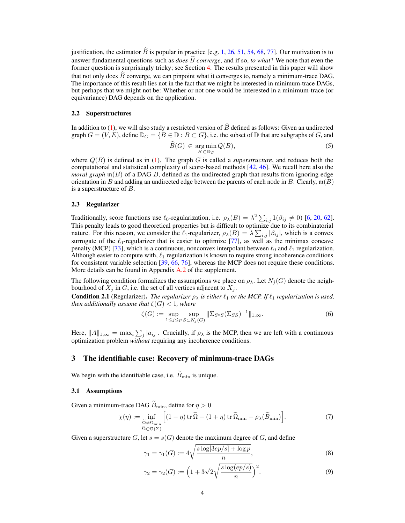justification, the estimator  $\widehat{B}$  is popular in practice [e.g. [1,](#page-8-4) [26,](#page-9-4) [51,](#page-10-5) [54,](#page-11-5) [68,](#page-11-6) [77\]](#page-12-1). Our motivation is to answer fundamental questions such as *does*  $\widehat{B}$  *converge*, and if so, *to what*? We note that even the former question is surprisingly tricky; see Section [4.](#page-5-0) The results presented in this paper will show that not only does  $\hat{B}$  converge, we can pinpoint what it converges to, namely a minimum-trace DAG. The importance of this result lies not in the fact that we might be interested in minimum-trace DAGs, but perhaps that we might not be: Whether or not one would be interested in a minimum-trace (or equivariance) DAG depends on the application.

## 2.2 Superstructures

In addition to [\(1\)](#page-1-0), we will also study a restricted version of  $\hat{B}$  defined as follows: Given an undirected graph  $G = (V, E)$ , define  $\mathbb{D}_G = \{B \in \mathbb{D} : B \subset G\}$ , i.e. the subset of  $\mathbb D$  that are subgraphs of *G*, and

$$
\widehat{B}(G) \in \underset{B \in \mathbb{D}_G}{\text{arg min}} Q(B),\tag{5}
$$

where  $Q(B)$  is defined as in [\(1\)](#page-1-0). The graph *G* is called a *superstructure*, and reduces both the computational and statistical complexity of score-based methods [\[42,](#page-10-14) [46\]](#page-10-15). We recall here also the *moral graph*  $\mathfrak{m}(B)$  of a DAG *B*, defined as the undirected graph that results from ignoring edge orientation in *B* and adding an undirected edge between the parents of each node in *B*. Clearly,  $\mathfrak{m}(B)$ is a superstructure of *B*.

## <span id="page-3-0"></span>2.3 Regularizer

Traditionally, score functions use  $\ell_0$ -regularization, i.e.  $\rho_\lambda(B) = \lambda^2 \sum_{i,j} 1(\beta_{ij} \neq 0)$  [\[6,](#page-8-3) [20,](#page-9-10) [62\]](#page-11-10). This penalty leads to good theoretical properties but is difficult to optimize due to its combinatorial nature. For this reason, we consider the  $\ell_1$ -regularizer,  $\rho_\lambda(B) = \lambda \sum_{i,j} |\beta_{ij}|$ , which is a convex surrogate of the  $\ell_0$ -regularizer that is easier to optimize [\[77\]](#page-12-1), as well as the minimax concave penalty (MCP) [\[73\]](#page-12-2), which is a continuous, nonconvex interpolant between  $\ell_0$  and  $\ell_1$  regularization. Although easier to compute with,  $\ell_1$  regularization is known to require strong incoherence conditions for consistent variable selection [\[39,](#page-10-16) [66,](#page-11-16) [76\]](#page-12-3), whereas the MCP does not require these conditions. More details can be found in Appendix [A.2](#page-0-0) of the supplement.

The following condition formalizes the assumptions we place on  $\rho_{\lambda}$ . Let  $N_i(G)$  denote the neighbourhood of  $X_j$  in  $G$ , i.e. the set of all vertices adjacent to  $X_j$ .

<span id="page-3-2"></span>**Condition 2.1** (Regularizer). *The regularizer*  $\rho_{\lambda}$  *is either*  $\ell_1$  *or the MCP. If*  $\ell_1$  *regularization is used, then additionally assume that*  $\zeta(G) < 1$ *, where* 

<span id="page-3-3"></span>
$$
\zeta(G) := \sup_{1 \le j \le p} \sup_{S \subset N_j(G)} \|\Sigma_{S^c S}(\Sigma_{S S})^{-1}\|_{1,\infty}.
$$
 (6)

Here,  $||A||_{1,\infty} = \max_i \sum_j |a_{ij}|$ . Crucially, if  $\rho_{\lambda}$  is the MCP, then we are left with a continuous optimization problem *without* requiring any incoherence conditions.

## 3 The identifiable case: Recovery of minimum-trace DAGs

We begin with the identifiable case, i.e.  $B_{\text{min}}$  is unique.

## 3.1 Assumptions

Given a minimum-trace DAG  $\widetilde{B}_{\text{min}}$ , define for  $\eta > 0$ 

$$
\chi(\eta) := \inf_{\substack{\widetilde{\Omega} \neq \widetilde{\Omega}_{\min} \\ \widetilde{\Omega} \in \mathfrak{D}(\Sigma)}} \Big[ (1 - \eta) \operatorname{tr} \widetilde{\Omega} - (1 + \eta) \operatorname{tr} \widetilde{\Omega}_{\min} - \rho_{\lambda} (\widetilde{B}_{\min}) \Big]. \tag{7}
$$

<span id="page-3-1"></span>Given a superstructure  $G$ , let  $s = s(G)$  denote the maximum degree of  $G$ , and define

$$
\gamma_1 = \gamma_1(G) := 4\sqrt{\frac{s \log[3ep/s] + \log p}{n}},\tag{8}
$$

$$
\gamma_2 = \gamma_2(G) := \left(1 + 3\sqrt{2}\sqrt{\frac{s\log(ep/s)}{n}}\right)^2.
$$
\n(9)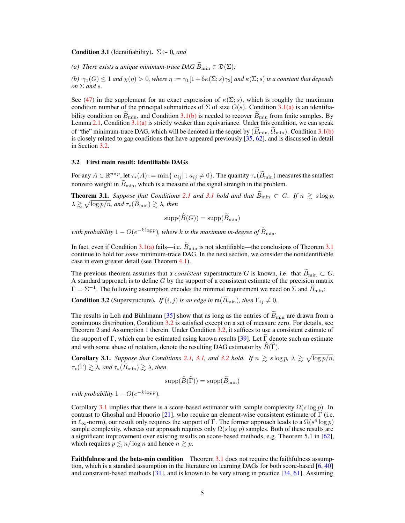#### **Condition 3.1** (Identifiability).  $\Sigma \succ 0$ , and

<span id="page-4-0"></span>*(a) There exists a unique minimum-trace DAG*  $\widetilde{B}_{\text{min}} \in \mathfrak{D}(\Sigma)$ ;

<span id="page-4-1"></span>*(b)*  $\gamma_1(G) \leq 1$  *and*  $\chi(\eta) > 0$ *, where*  $\eta := \gamma_1[1 + 6\kappa(\Sigma; s)\gamma_2]$  *and*  $\kappa(\Sigma; s)$  *is a constant that depends on*  $\Sigma$  *and s.* 

See [\(47\)](#page-0-1) in the supplement for an exact expression of  $\kappa(\Sigma; s)$ , which is roughly the maximum condition number of the principal submatrices of  $\Sigma$  of size  $O(s)$ . Condition [3.1](#page-3-1)[\(a\)](#page-4-0) is an identifiability condition on  $B_{\text{min}}$ , and Condition [3.1](#page-3-1)[\(b\)](#page-4-1) is needed to recover  $B_{\text{min}}$  from finite samples. By Lemma  $2.1$ , Condition  $3.1(a)$  $3.1(a)$  is strictly weaker than equivariance. Under this condition, we can speak of "the" minimum-trace DAG, which will be denoted in the sequel by  $(\hat{B}_{\text{min}}, \hat{\Omega}_{\text{min}})$ . Condition [3.1](#page-3-1)[\(b\)](#page-4-1) is closely related to gap conditions that have appeared previously  $[35, 62]$  $[35, 62]$  $[35, 62]$ , and is discussed in detail in Section [3.2.](#page-4-2)

## <span id="page-4-2"></span>3.2 First main result: Identifiable DAGs

For any  $A \in \mathbb{R}^{p \times p}$ , let  $\tau_*(A) := \min\{|a_{ij}| : a_{ij} \neq 0\}$ . The quantity  $\tau_*(\widetilde{B}_{\min})$  measures the smallest nonzero weight in  $B_{\text{min}}$ , which is a measure of the signal strength in the problem.

<span id="page-4-3"></span>**Theorem [3.1](#page-3-1).** *Suppose that Conditions* [2.1](#page-3-2) *and* 3.1 *hold and that*  $\widetilde{B}_{\min} \subset G$ *. If*  $n \geq s \log p$ *,*  $\lambda \gtrsim \sqrt{\log p/n}$ , and  $\tau_*(\widetilde{B}_{\min}) \gtrsim \lambda$ , then

$$
\mathrm{supp}(\widehat{B}(G)) = \mathrm{supp}(\widetilde{B}_{\mathrm{min}})
$$

*with probability*  $1 - O(e^{-k \log p})$ *, where k is the maximum in-degree of*  $\widetilde{B}_{\text{min}}$ *.* 

In fact, even if Condition  $3.1(a)$  $3.1(a)$  fails—i.e.  $\widetilde{B}_{\text{min}}$  is not identifiable—the conclusions of Theorem 3.1 continue to hold for *some* minimum-trace DAG. In the next section, we consider the nonidentifiable case in even greater detail (see Theorem [4.1\)](#page-6-0).

The previous theorem assumes that a *consistent* superstructure G is known, i.e. that  $B_{\text{min}} \subset G$ .<br>A standard approach is to define G by the support of a consistent estimate of the precision matrix  $\Gamma = \Sigma^{-1}$ . The following assumption encodes the minimal requirement we need on  $\Sigma$  and  $\widetilde{B}_{\text{min}}$ .

<span id="page-4-4"></span>**Condition 3.2** (Superstructure). *If*  $(i, j)$  *is an edge in*  $m(\widetilde{B}_{\text{min}})$ *, then*  $\Gamma_{ij} \neq 0$ *.* 

The results in Loh and Bühlmann [\[35\]](#page-10-8) show that as long as the entries of  $\widetilde{B}_{\text{min}}$  are drawn from a continuous distribution, Condition [3.2](#page-4-4) is satisfied except on a set of measure zero. For details, see Theorem 2 and Assumption 1 therein. Under Condition [3.2,](#page-4-4) it suffices to use a consistent estimate of the support of  $\Gamma$ , which can be estimated using known results [\[39\]](#page-10-16). Let  $\Gamma$  denote such an estimate and with some abuse of notation, denote the resulting DAG estimator by  $\widehat{B}(\widehat{\Gamma})$ .

<span id="page-4-5"></span>**Corollary 3.1.** Suppose that Conditions [2.1,](#page-3-2) [3.1,](#page-3-1) and [3.2](#page-4-4) hold. If  $n \geq s \log p$ ,  $\lambda \geq \sqrt{\log p/n}$ ,  $\tau_*(\Gamma) \geq \lambda$ , and  $\tau_*(\widetilde{B}_{\min}) \geq \lambda$ , then

$$
\mathrm{supp}(\widehat{B}(\widehat{\Gamma})) = \mathrm{supp}(\widehat{B}_{\min})
$$

*with probability*  $1 - O(e^{-k \log p})$ *.* 

Corollary [3.1](#page-4-5) implies that there is a score-based estimator with sample complexity  $\Omega(s \log p)$ . In contrast to Ghoshal and Honorio  $[21]$ , who require an element-wise consistent estimate of  $\Gamma$  (i.e. in  $\ell_{\infty}$ -norm), our result only requires the support of  $\Gamma$ . The former approach leads to a  $\Omega(s^4 \log p)$ sample complexity, whereas our approach requires only  $\Omega(s \log p)$  samples. Both of these results are a significant improvement over existing results on score-based methods, e.g. Theorem 5.1 in [\[62\]](#page-11-10), which requires  $p \leq n/\log n$  and hence  $n \geq p$ .

Faithfulness and the beta-min condition Theorem [3.1](#page-4-3) does not require the faithfulness assumption, which is a standard assumption in the literature on learning DAGs for both score-based [\[6,](#page-8-3) [40\]](#page-10-4) and constraint-based methods [\[31\]](#page-9-11), and is known to be very strong in practice [\[34,](#page-10-10) [61\]](#page-11-3). Assuming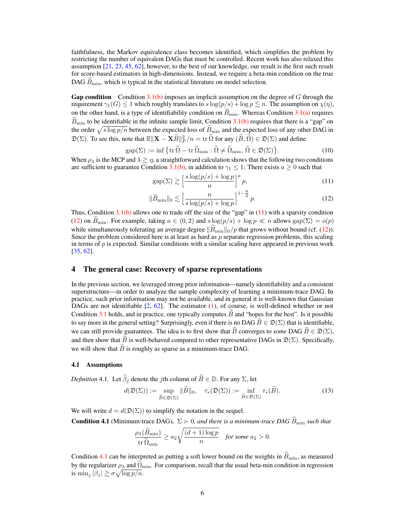faithfulness, the Markov equivalence class becomes identified, which simplifies the problem by restricting the number of equivalent DAGs that must be controlled. Recent work has also relaxed this assumption [\[21,](#page-9-5) [23,](#page-9-6) [45,](#page-10-17) [62\]](#page-11-10), however, to the best of our knowledge, our result is the first such result for score-based estimators in high-dimensions. Instead, we require a beta-min condition on the true DAG  $B_{\text{min}}$ , which is typical in the statistical literature on model selection.

Gap condition Condition [3.1](#page-3-1)[\(b\)](#page-4-1) imposes an implicit assumption on the degree of *G* through the requirement  $\gamma_1(G) \leq 1$  which roughly translates to  $s \log(p/s) + \log p \lesssim n$ . The assumption on  $\chi(\eta)$ , on the other hand, is a type of identifiability condition on  $\tilde{B}_{\text{min}}$ . Whereas Condition [3.1](#page-3-1)[\(a\)](#page-4-0) requires  $\widetilde{B}_{\text{min}}$  to be identifiable in the infinite sample limit, Condition [3.1](#page-3-1)[\(b\)](#page-4-1) requires that there is a "gap" on the order  $\sqrt{s \log p/n}$  between the expected loss of  $B_{\text{min}}$  and the expected loss of any other DAG in  $\mathfrak{D}(\Sigma)$ . To see this, note that  $\mathbb{E} \|\mathbf{X} - \mathbf{X}B\|_F^2 / n = \text{tr} \, \Omega$  for any  $(B, \Omega) \in \mathfrak{D}(\Sigma)$  and define

$$
gap(\Sigma) := \inf \{ tr \, \widetilde{\Omega} - tr \, \widetilde{\Omega}_{\text{min}} : \widetilde{\Omega} \neq \widetilde{\Omega}_{\text{min}}, \, \widetilde{\Omega} \in \mathfrak{D}(\Sigma) \}. \tag{10}
$$

When  $\rho_{\lambda}$  is the MCP and  $\lambda \gtrsim \eta$ , a straightforward calculation shows that the following two conditions are sufficient to guarantee Condition [3.1](#page-3-1)[\(b\),](#page-4-1) in addition to  $\gamma_1 \leq 1$ : There exists  $a \geq 0$  such that

<span id="page-5-2"></span><span id="page-5-1"></span>
$$
gap(\Sigma) \gtrsim \left[\frac{s\log(p/s) + \log p}{n}\right]^a p,\tag{11}
$$

$$
\|\widetilde{B}_{\min}\|_0 \lesssim \left[\frac{n}{s\log(p/s) + \log p}\right]^{1 - \frac{a}{2}} p. \tag{12}
$$

Thus, Condition  $3.1(b)$  $3.1(b)$  allows one to trade off the size of the "gap" in [\(11\)](#page-5-1) with a sparsity condition [\(12\)](#page-5-2) on  $B_{\text{min}}$ . For example, taking  $a \in (0,2)$  and  $s \log(p/s) + \log p \ll n$  allows  $\text{gap}(\Sigma) = o(p)$ while simultaneously tolerating an average degree  $\|\widetilde{B}_{\text{min}}\|_0/p$  that grows without bound (cf. [\(12\)](#page-5-2)). Since the problem considered here is at least as hard as *p* separate regression problems, this scaling in terms of *p* is expected. Similar conditions with a similar scaling have appeared in previous work [\[35,](#page-10-8) [62\]](#page-11-10).

# <span id="page-5-0"></span>4 The general case: Recovery of sparse representations

In the previous section, we leveraged strong prior information—namely identifiability and a consistent superstructure—in order to analyze the sample complexity of learning a minimum-trace DAG. In practice, such prior information may not be available, and in general it is well-known that Gaussian DAGs are not identifiable  $[2, 62]$  $[2, 62]$  $[2, 62]$ . The estimator  $(1)$ , of course, is well-defined whether or not Condition [3.1](#page-3-1) holds, and in practice, one typically computes  $\hat{B}$  and "hopes for the best". Is it possible to say more in the general setting? Surprisingly, even if there is no DAG  $B \in \mathcal{D}(\Sigma)$  that is identifiable, we can still provide guarantees. The idea is to first show that  $\hat{B}$  converges to *some* DAG  $\hat{B} \in \mathfrak{D}(\Sigma)$ , and then show that *B* is well-behaved compared to other representative DAGs in  $\mathfrak{D}(\Sigma)$ . Specifically, we will show that  $\widetilde{B}$  is roughly as sparse as a minimum-trace DAG.

#### 4.1 Assumptions

*Definition* 4.1*.* Let  $\tilde{\beta}_i$  denote the *j*th column of  $\tilde{B} \in \mathbb{D}$ *.* For any  $\Sigma$ *,* let

$$
d(\mathfrak{D}(\Sigma)) := \sup_{\widetilde{B} \in \mathfrak{D}(\Sigma)} \|\widetilde{B}\|_0, \quad \tau_*(\mathfrak{D}(\Sigma)) := \inf_{\widetilde{B} \in \mathfrak{D}(\Sigma)} \tau_*(\widetilde{B}). \tag{13}
$$

We will write  $d = d(\mathfrak{D}(\Sigma))$  to simplify the notation in the sequel.

<span id="page-5-3"></span>**Condition 4.1** (Minimum-trace DAG).  $\Sigma \succ 0$ , and there is a minimum-trace DAG  $\widetilde{B}_{\text{min}}$  such that

<span id="page-5-4"></span>
$$
\frac{\rho_{\lambda}(\widetilde{B}_{\mathrm{min}})}{\mathrm{tr}\,\widetilde{\Omega}_{\mathrm{min}}}\geq a_2\sqrt{\frac{(d+1)\log p}{n}}\quad\text{for some $a_2>0$}.
$$

Condition [4.1](#page-5-3) can be interpreted as putting a soft lower bound on the weights in  $\tilde{B}_{\text{min}}$ , as measured by the regularizer  $\rho_{\lambda}$  and  $\tilde{\Omega}_{\text{min}}$ . For comparison, recall that the usual beta-min condition in regression is  $\min_j |\beta_j| \gtrsim \sigma \sqrt{\log p/n}$ .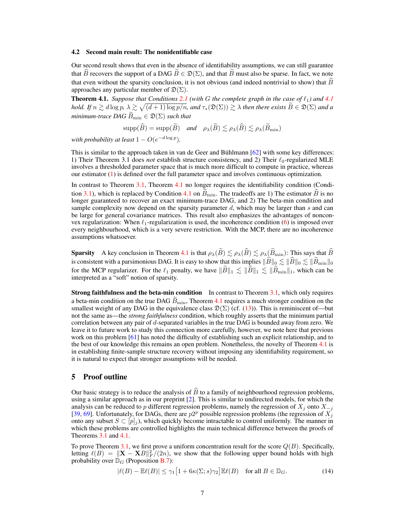#### 4.2 Second main result: The nonidentifiable case

Our second result shows that even in the absence of identifiability assumptions, we can still guarantee that *B* recovers the support of a DAG  $B \in \mathcal{D}(\Sigma)$ , and that *B* must also be sparse. In fact, we note that even without the sparsity conclusion, it is not obvious (and indeed nontrivial to show) that  $\widehat{B}$ approaches any particular member of  $\mathfrak{D}(\Sigma)$ .

<span id="page-6-0"></span>**Theorem [4.1](#page-5-3).** *Suppose that Conditions* [2.1](#page-3-2) (with G the complete graph in the case of  $\ell_1$ ) and 4.1 *hold. If*  $n \geq d \log p$ ,  $\lambda \geq \sqrt{(d+1) \log p/n}$ , and  $\tau_*(\mathfrak{D}(\Sigma)) \geq \lambda$  then there exists  $\widetilde{B} \in \mathfrak{D}(\Sigma)$  and a *minimum-trace DAG*  $\widetilde{B}_{\text{min}} \in \mathfrak{D}(\Sigma)$  *such that* 

$$
\text{supp}(\widehat{B}) = \text{supp}(\widetilde{B}) \quad \text{and} \quad \rho_{\lambda}(\widetilde{B}) \lesssim \rho_{\lambda}(\widehat{B}) \lesssim \rho_{\lambda}(\widetilde{B}_{\min})
$$

*with probability at least*  $1 - O(e^{-d \log p})$ *.* 

This is similar to the approach taken in van de Geer and Bühlmann [\[62\]](#page-11-10) with some key differences: 1) Their Theorem 3.1 does *not* establish structure consistency, and 2) Their  $\ell_0$ -regularized MLE involves a thresholded parameter space that is much more difficult to compute in practice, whereas our estimator [\(1\)](#page-1-0) is defined over the full parameter space and involves continuous optimization.

In contrast to Theorem [3.1,](#page-4-3) Theorem [4.1](#page-6-0) no longer requires the identifiability condition (Condi-tion [3.1\)](#page-3-1), which is replaced by Condition [4.1](#page-5-3) on  $B_{\text{min}}$ . The tradeoffs are 1) The estimator *B* is no longer guaranteed to recover an exact minimum-trace DAG, and 2) The beta-min condition and sample complexity now depend on the sparsity parameter *d*, which may be larger than *s* and can be large for general covariance matrices. This result also emphasizes the advantages of nonconvex regularization: When  $\ell_1$ -regularization is used, the incoherence condition [\(6\)](#page-3-3) is imposed over every neighbourhood, which is a very severe restriction. With the MCP, there are no incoherence assumptions whatsoever.

**Sparsity** A key conclusion in Theorem [4.1](#page-6-0) is that  $\rho_{\lambda}(\tilde{B}) \lesssim \rho_{\lambda}(\tilde{B}) \lesssim \rho_{\lambda}(\tilde{B}_{\min})$ : This says that  $\tilde{B}$ is consistent with a parsimonious DAG. It is easy to show that this implies  $\|\tilde{B}\|_0 \lesssim \|\tilde{B}\|_0 \lesssim \|\tilde{B}_{\text{min}}\|_0$ for the MCP regularizer. For the  $\ell_1$  penalty, we have  $\|\widetilde{B}\|_1 \lesssim \|\widetilde{B}\|_1 \lesssim \|\widetilde{B}_{\min}\|_1$ , which can be interpreted as a "soft" notion of sparsity.

**Strong faithfulness and the beta-min condition** In contrast to Theorem  $3.1$ , which only requires a beta-min condition on the true DAG  $\tilde{B}_{\text{min}}$ , Theorem [4.1](#page-6-0) requires a much stronger condition on the smallest weight of any DAG in the equivalence class  $\mathfrak{D}(\Sigma)$  (cf. [\(13\)](#page-5-4)). This is reminiscent of—but not the same as—the *strong faithfulness* condition, which roughly asserts that the minimum partial correlation between any pair of *d*-separated variables in the true DAG is bounded away from zero. We leave it to future work to study this connection more carefully, however, we note here that previous work on this problem [\[61\]](#page-11-3) has noted the difficulty of establishing such an explicit relationship, and to the best of our knowledge this remains an open problem. Nonetheless, the novelty of Theorem [4.1](#page-6-0) is in establishing finite-sample structure recovery without imposing any identifiability requirement, so it is natural to expect that stronger assumptions will be needed.

## 5 Proof outline

Our basic strategy is to reduce the analysis of  $\hat{B}$  to a family of neighbourhood regression problems, using a similar approach as in our preprint [\[2\]](#page-8-12). This is similar to undirected models, for which the analysis can be reduced to *p* different regression problems, namely the regression of  $X_i$  onto  $X_{-i}$ [\[39,](#page-10-16) [69\]](#page-11-17). Unfortunately, for DAGs, there are  $p2^p$  possible regression problems (the regression of  $X_j$ onto any subset  $S \subset [p]_j$ , which quickly become intractable to control uniformly. The manner in which these problems are controlled highlights the main technical difference between the proofs of Theorems [3.1](#page-4-3) and [4.1.](#page-6-0)

To prove Theorem [3.1,](#page-4-3) we first prove a uniform concentration result for the score *Q*(*B*). Specifically, letting  $\ell(B) = ||\mathbf{X} - \mathbf{X}B||_F^2/(2n)$ , we show that the following upper bound holds with high probability over  $\mathbb{D}_G$  (Proposition [B.7\)](#page-0-2):

<span id="page-6-1"></span>
$$
|\ell(B) - \mathbb{E}\ell(B)| \le \gamma_1 \left[1 + 6\kappa(\Sigma; s)\gamma_2\right] \mathbb{E}\ell(B) \quad \text{for all } B \in \mathbb{D}_G. \tag{14}
$$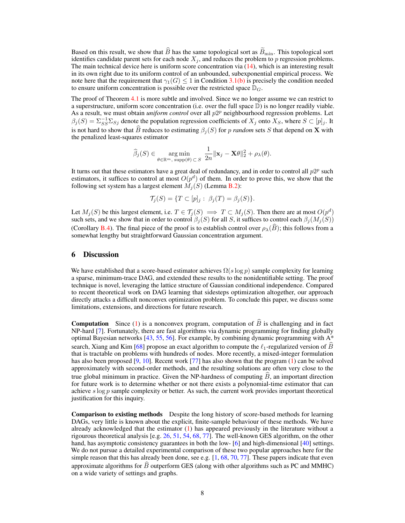Based on this result, we show that  $\widehat{B}$  has the same topological sort as  $\widetilde{B}_{\text{min}}$ . This topological sort identifies candidate parent sets for each node  $X_j$ , and reduces the problem to  $p$  regression problems. The main technical device here is uniform score concentration via [\(14\)](#page-6-1), which is an interesting result in its own right due to its uniform control of an unbounded, subexponential empirical process. We note here that the requirement that  $\gamma_1(G) \leq 1$  in Condition [3.1](#page-3-1)[\(b\)](#page-4-1) is precisely the condition needed to ensure uniform concentration is possible over the restricted space  $\mathbb{D}_G$ .

The proof of Theorem [4.1](#page-6-0) is more subtle and involved. Since we no longer assume we can restrict to a superstructure, uniform score concentration (i.e. over the full space D) is no longer readily viable. As a result, we must obtain *uniform control* over all *p*2*<sup>p</sup>* neighbourhood regression problems. Let  $\beta_j(S) = \sum_{SS}^{-1} \sum_{Sj}$  denote the population regression coefficients of  $X_j$  onto  $X_S$ , where  $S \subset [p]_j$ . It is not hard to show that  $\hat{B}$  reduces to estimating  $\beta_j(S)$  for *p random* sets *S* that depend on **X** with the penalized least-squares estimator

$$
\widehat{\beta}_j(S) \in \underset{\theta \in \mathbb{R}^m, \text{ supp}(\theta) \subset S}{\arg \min} \frac{1}{2n} ||\mathbf{x}_j - \mathbf{X}\theta||_2^2 + \rho_{\lambda}(\theta).
$$

It turns out that these estimators have a great deal of redundancy, and in order to control all  $p2^p$  such estimators, it suffices to control at most  $O(p^d)$  of them. In order to prove this, we show that the following set system has a largest element  $M_i(S)$  (Lemma [B.2\)](#page-0-3):

$$
\mathcal{T}_j(S) = \{ T \subset [p]_j : \ \beta_j(T) = \beta_j(S) \}.
$$

Let  $M_j(S)$  be this largest element, i.e.  $T \in \mathcal{T}_j(S) \implies T \subset M_j(S)$ . Then there are at most  $O(p^d)$ such sets, and we show that in order to control  $\beta_j(S)$  for all *S*, it suffices to control each  $\beta_j(M_j(S))$ (Corollary [B.4\)](#page-0-4). The final piece of the proof is to establish control over  $\rho_{\lambda}(\widehat{B})$ ; this follows from a somewhat lengthy but straightforward Gaussian concentration argument.

## <span id="page-7-0"></span>6 Discussion

We have established that a score-based estimator achieves  $\Omega(s \log p)$  sample complexity for learning a sparse, minimum-trace DAG, and extended these results to the nonidentifiable setting. The proof technique is novel, leveraging the lattice structure of Gaussian conditional independence. Compared to recent theoretical work on DAG learning that sidesteps optimization altogether, our approach directly attacks a difficult nonconvex optimization problem. To conclude this paper, we discuss some limitations, extensions, and directions for future research.

**Computation** Since [\(1\)](#page-1-0) is a nonconvex program, computation of  $\widehat{B}$  is challenging and in fact NP-hard [\[7\]](#page-8-5). Fortunately, there are fast algorithms via dynamic programming for finding globally optimal Bayesian networks [\[43,](#page-10-6) [55,](#page-11-8) [56\]](#page-11-9). For example, by combining dynamic programming with  $A^*$ search, Xiang and Kim [\[68\]](#page-11-6) propose an exact algorithm to compute the  $\ell_1$ -regularized version of *B* that is tractable on problems with hundreds of nodes. More recently, a mixed-integer formulation has also been proposed [\[9,](#page-8-6) [10\]](#page-8-7). Recent work [\[77\]](#page-12-1) has also shown that the program [\(1\)](#page-1-0) can be solved approximately with second-order methods, and the resulting solutions are often very close to the true global minimum in practice. Given the NP-hardness of computing  $B$ , an important direction for future work is to determine whether or not there exists a polynomial-time estimator that can achieve *s* log *p* sample complexity or better. As such, the current work provides important theoretical justification for this inquiry.

Comparison to existing methods Despite the long history of score-based methods for learning DAGs, very little is known about the explicit, finite-sample behaviour of these methods. We have already acknowledged that the estimator [\(1\)](#page-1-0) has appeared previously in the literature without a rigourous theoretical analysis [e.g. [26,](#page-9-4) [51,](#page-10-5) [54,](#page-11-5) [68,](#page-11-6) [77\]](#page-12-1). The well-known GES algorithm, on the other hand, has asymptotic consistency guarantees in both the low- [\[6\]](#page-8-3) and high-dimensional [\[40\]](#page-10-4) settings. We do not pursue a detailed experimental comparison of these two popular approaches here for the simple reason that this has already been done, see e.g.  $[1, 68, 70, 77]$  $[1, 68, 70, 77]$  $[1, 68, 70, 77]$  $[1, 68, 70, 77]$  $[1, 68, 70, 77]$  $[1, 68, 70, 77]$  $[1, 68, 70, 77]$ . These papers indicate that even approximate algorithms for  $\hat{B}$  outperform GES (along with other algorithms such as PC and MMHC) on a wide variety of settings and graphs.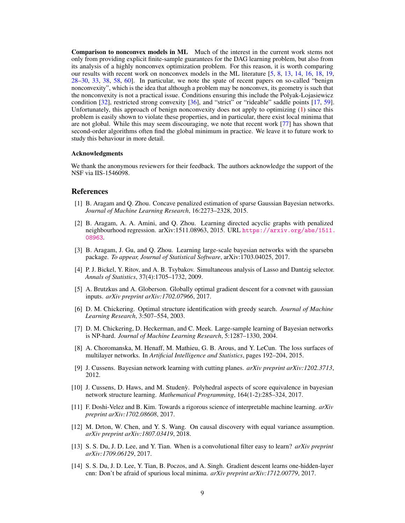Comparison to nonconvex models in ML Much of the interest in the current work stems not only from providing explicit finite-sample guarantees for the DAG learning problem, but also from its analysis of a highly nonconvex optimization problem. For this reason, it is worth comparing our results with recent work on nonconvex models in the ML literature [\[5,](#page-8-9) [8,](#page-8-10) [13,](#page-8-1) [14,](#page-8-2) [16,](#page-9-1) [18,](#page-9-2) [19,](#page-9-7) [28](#page-9-8)[–30,](#page-9-9) [33,](#page-10-11) [38,](#page-10-12) [58,](#page-11-2) [60\]](#page-11-14). In particular, we note the spate of recent papers on so-called "benign nonconvexity", which is the idea that although a problem may be nonconvex, its geometry is such that the nonconvexity is not a practical issue. Conditions ensuring this include the Polyak-Lojasiewicz condition [\[32\]](#page-9-12), restricted strong convexity [\[36\]](#page-10-2), and "strict" or "rideable" saddle points [\[17,](#page-9-13) [59\]](#page-11-18). Unfortunately, this approach of benign nonconvexity does not apply to optimizing [\(1\)](#page-1-0) since this problem is easily shown to violate these properties, and in particular, there exist local minima that are not global. While this may seem discouraging, we note that recent work [\[77\]](#page-12-1) has shown that second-order algorithms often find the global minimum in practice. We leave it to future work to study this behaviour in more detail.

## Acknowledgments

We thank the anonymous reviewers for their feedback. The authors acknowledge the support of the NSF via IIS-1546098.

## References

- <span id="page-8-4"></span>[1] B. Aragam and Q. Zhou. Concave penalized estimation of sparse Gaussian Bayesian networks. *Journal of Machine Learning Research*, 16:2273–2328, 2015.
- <span id="page-8-12"></span>[2] B. Aragam, A. A. Amini, and Q. Zhou. Learning directed acyclic graphs with penalized neighbourhood regression. arXiv:1511.08963, 2015. URL [https://arxiv.org/abs/1511.](https://arxiv.org/abs/1511.08963) [08963](https://arxiv.org/abs/1511.08963).
- <span id="page-8-8"></span>[3] B. Aragam, J. Gu, and Q. Zhou. Learning large-scale bayesian networks with the sparsebn package. *To appear, Journal of Statistical Software*, arXiv:1703.04025, 2017.
- [4] P. J. Bickel, Y. Ritov, and A. B. Tsybakov. Simultaneous analysis of Lasso and Dantzig selector. *Annals of Statistics*, 37(4):1705–1732, 2009.
- <span id="page-8-9"></span>[5] A. Brutzkus and A. Globerson. Globally optimal gradient descent for a convnet with gaussian inputs. *arXiv preprint arXiv:1702.07966*, 2017.
- <span id="page-8-3"></span>[6] D. M. Chickering. Optimal structure identification with greedy search. *Journal of Machine Learning Research*, 3:507–554, 2003.
- <span id="page-8-5"></span>[7] D. M. Chickering, D. Heckerman, and C. Meek. Large-sample learning of Bayesian networks is NP-hard. *Journal of Machine Learning Research*, 5:1287–1330, 2004.
- <span id="page-8-10"></span>[8] A. Choromanska, M. Henaff, M. Mathieu, G. B. Arous, and Y. LeCun. The loss surfaces of multilayer networks. In *Artificial Intelligence and Statistics*, pages 192–204, 2015.
- <span id="page-8-6"></span>[9] J. Cussens. Bayesian network learning with cutting planes. *arXiv preprint arXiv:1202.3713*, 2012.
- <span id="page-8-7"></span>[10] J. Cussens, D. Haws, and M. Studeny. Polyhedral aspects of score equivalence in bayesian network structure learning. *Mathematical Programming*, 164(1-2):285–324, 2017.
- <span id="page-8-0"></span>[11] F. Doshi-Velez and B. Kim. Towards a rigorous science of interpretable machine learning. *arXiv preprint arXiv:1702.08608*, 2017.
- <span id="page-8-11"></span>[12] M. Drton, W. Chen, and Y. S. Wang. On causal discovery with equal variance assumption. *arXiv preprint arXiv:1807.03419*, 2018.
- <span id="page-8-1"></span>[13] S. S. Du, J. D. Lee, and Y. Tian. When is a convolutional filter easy to learn? *arXiv preprint arXiv:1709.06129*, 2017.
- <span id="page-8-2"></span>[14] S. S. Du, J. D. Lee, Y. Tian, B. Poczos, and A. Singh. Gradient descent learns one-hidden-layer cnn: Don't be afraid of spurious local minima. *arXiv preprint arXiv:1712.00779*, 2017.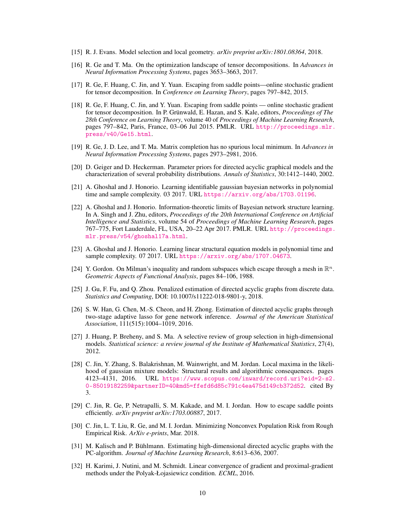- <span id="page-9-0"></span>[15] R. J. Evans. Model selection and local geometry. *arXiv preprint arXiv:1801.08364*, 2018.
- <span id="page-9-1"></span>[16] R. Ge and T. Ma. On the optimization landscape of tensor decompositions. In *Advances in Neural Information Processing Systems*, pages 3653–3663, 2017.
- <span id="page-9-13"></span>[17] R. Ge, F. Huang, C. Jin, and Y. Yuan. Escaping from saddle points—online stochastic gradient for tensor decomposition. In *Conference on Learning Theory*, pages 797–842, 2015.
- <span id="page-9-2"></span>[18] R. Ge, F. Huang, C. Jin, and Y. Yuan. Escaping from saddle points — online stochastic gradient for tensor decomposition. In P. Grünwald, E. Hazan, and S. Kale, editors, *Proceedings of The 28th Conference on Learning Theory*, volume 40 of *Proceedings of Machine Learning Research*, pages 797–842, Paris, France, 03–06 Jul 2015. PMLR. URL [http://proceedings.mlr.](http://proceedings.mlr.press/v40/Ge15.html) [press/v40/Ge15.html](http://proceedings.mlr.press/v40/Ge15.html).
- <span id="page-9-7"></span>[19] R. Ge, J. D. Lee, and T. Ma. Matrix completion has no spurious local minimum. In *Advances in Neural Information Processing Systems*, pages 2973–2981, 2016.
- <span id="page-9-10"></span>[20] D. Geiger and D. Heckerman. Parameter priors for directed acyclic graphical models and the characterization of several probability distributions. *Annals of Statistics*, 30:1412–1440, 2002.
- <span id="page-9-5"></span>[21] A. Ghoshal and J. Honorio. Learning identifiable gaussian bayesian networks in polynomial time and sample complexity. 03 2017. URL <https://arxiv.org/abs/1703.01196>.
- [22] A. Ghoshal and J. Honorio. Information-theoretic limits of Bayesian network structure learning. In A. Singh and J. Zhu, editors, *Proceedings of the 20th International Conference on Artificial Intelligence and Statistics*, volume 54 of *Proceedings of Machine Learning Research*, pages 767–775, Fort Lauderdale, FL, USA, 20–22 Apr 2017. PMLR. URL [http://proceedings.](http://proceedings.mlr.press/v54/ghoshal17a.html) [mlr.press/v54/ghoshal17a.html](http://proceedings.mlr.press/v54/ghoshal17a.html).
- <span id="page-9-6"></span>[23] A. Ghoshal and J. Honorio. Learning linear structural equation models in polynomial time and sample complexity. 07 2017. URL <https://arxiv.org/abs/1707.04673>.
- [24] Y. Gordon. On Milman's inequality and random subspaces which escape through a mesh in R*<sup>n</sup>*. *Geometric Aspects of Functional Analysis*, pages 84–106, 1988.
- <span id="page-9-3"></span>[25] J. Gu, F. Fu, and Q. Zhou. Penalized estimation of directed acyclic graphs from discrete data. *Statistics and Computing*, DOI: 10.1007/s11222-018-9801-y, 2018.
- <span id="page-9-4"></span>[26] S. W. Han, G. Chen, M.-S. Cheon, and H. Zhong. Estimation of directed acyclic graphs through two-stage adaptive lasso for gene network inference. *Journal of the American Statistical Association*, 111(515):1004–1019, 2016.
- [27] J. Huang, P. Breheny, and S. Ma. A selective review of group selection in high-dimensional models. *Statistical science: a review journal of the Institute of Mathematical Statistics*, 27(4), 2012.
- <span id="page-9-8"></span>[28] C. Jin, Y. Zhang, S. Balakrishnan, M. Wainwright, and M. Jordan. Local maxima in the likelihood of gaussian mixture models: Structural results and algorithmic consequences. pages 4123–4131, 2016. URL [https://www.scopus.com/inward/record.uri?eid=2-s2.](https://www.scopus.com/inward/record.uri?eid=2-s2.0-85019182259&partnerID=40&md5=ffefd6d85c791c4ea475d149cb372d52) [0-85019182259&partnerID=40&md5=ffefd6d85c791c4ea475d149cb372d52](https://www.scopus.com/inward/record.uri?eid=2-s2.0-85019182259&partnerID=40&md5=ffefd6d85c791c4ea475d149cb372d52). cited By 3.
- [29] C. Jin, R. Ge, P. Netrapalli, S. M. Kakade, and M. I. Jordan. How to escape saddle points efficiently. *arXiv preprint arXiv:1703.00887*, 2017.
- <span id="page-9-9"></span>[30] C. Jin, L. T. Liu, R. Ge, and M. I. Jordan. Minimizing Nonconvex Population Risk from Rough Empirical Risk. *ArXiv e-prints*, Mar. 2018.
- <span id="page-9-11"></span>[31] M. Kalisch and P. Bühlmann. Estimating high-dimensional directed acyclic graphs with the PC-algorithm. *Journal of Machine Learning Research*, 8:613–636, 2007.
- <span id="page-9-12"></span>[32] H. Karimi, J. Nutini, and M. Schmidt. Linear convergence of gradient and proximal-gradient methods under the Polyak-Łojasiewicz condition. *ECML*, 2016.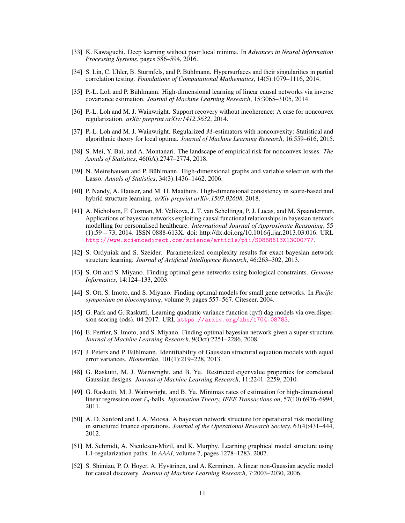- <span id="page-10-11"></span>[33] K. Kawaguchi. Deep learning without poor local minima. In *Advances in Neural Information Processing Systems*, pages 586–594, 2016.
- <span id="page-10-10"></span>[34] S. Lin, C. Uhler, B. Sturmfels, and P. Bühlmann. Hypersurfaces and their singularities in partial correlation testing. *Foundations of Computational Mathematics*, 14(5):1079–1116, 2014.
- <span id="page-10-8"></span>[35] P.-L. Loh and P. Bühlmann. High-dimensional learning of linear causal networks via inverse covariance estimation. *Journal of Machine Learning Research*, 15:3065–3105, 2014.
- <span id="page-10-2"></span>[36] P.-L. Loh and M. J. Wainwright. Support recovery without incoherence: A case for nonconvex regularization. *arXiv preprint arXiv:1412.5632*, 2014.
- <span id="page-10-3"></span>[37] P.-L. Loh and M. J. Wainwright. Regularized *M*-estimators with nonconvexity: Statistical and algorithmic theory for local optima. *Journal of Machine Learning Research*, 16:559–616, 2015.
- <span id="page-10-12"></span>[38] S. Mei, Y. Bai, and A. Montanari. The landscape of empirical risk for nonconvex losses. *The Annals of Statistics*, 46(6A):2747–2774, 2018.
- <span id="page-10-16"></span>[39] N. Meinshausen and P. Bühlmann. High-dimensional graphs and variable selection with the Lasso. *Annals of Statistics*, 34(3):1436–1462, 2006.
- <span id="page-10-4"></span>[40] P. Nandy, A. Hauser, and M. H. Maathuis. High-dimensional consistency in score-based and hybrid structure learning. *arXiv preprint arXiv:1507.02608*, 2018.
- <span id="page-10-0"></span>[41] A. Nicholson, F. Cozman, M. Velikova, J. T. van Scheltinga, P. J. Lucas, and M. Spaanderman. Applications of bayesian networks exploiting causal functional relationships in bayesian network modelling for personalised healthcare. *International Journal of Approximate Reasoning*, 55 (1):59 – 73, 2014. ISSN 0888-613X. doi: http://dx.doi.org/10.1016/j.ijar.2013.03.016. URL <http://www.sciencedirect.com/science/article/pii/S0888613X13000777>.
- <span id="page-10-14"></span>[42] S. Ordyniak and S. Szeider. Parameterized complexity results for exact bayesian network structure learning. *Journal of Artificial Intelligence Research*, 46:263–302, 2013.
- <span id="page-10-6"></span>[43] S. Ott and S. Miyano. Finding optimal gene networks using biological constraints. *Genome Informatics*, 14:124–133, 2003.
- <span id="page-10-7"></span>[44] S. Ott, S. Imoto, and S. Miyano. Finding optimal models for small gene networks. In *Pacific symposium on biocomputing*, volume 9, pages 557–567. Citeseer, 2004.
- <span id="page-10-17"></span>[45] G. Park and G. Raskutti. Learning quadratic variance function (qvf) dag models via overdispersion scoring (ods). 04 2017. URL <https://arxiv.org/abs/1704.08783>.
- <span id="page-10-15"></span>[46] E. Perrier, S. Imoto, and S. Miyano. Finding optimal bayesian network given a super-structure. *Journal of Machine Learning Research*, 9(Oct):2251–2286, 2008.
- <span id="page-10-13"></span>[47] J. Peters and P. Bühlmann. Identifiability of Gaussian structural equation models with equal error variances. *Biometrika*, 101(1):219–228, 2013.
- [48] G. Raskutti, M. J. Wainwright, and B. Yu. Restricted eigenvalue properties for correlated Gaussian designs. *Journal of Machine Learning Research*, 11:2241–2259, 2010.
- [49] G. Raskutti, M. J. Wainwright, and B. Yu. Minimax rates of estimation for high-dimensional linear regression over `*q*-balls. *Information Theory, IEEE Transactions on*, 57(10):6976–6994, 2011.
- <span id="page-10-1"></span>[50] A. D. Sanford and I. A. Moosa. A bayesian network structure for operational risk modelling in structured finance operations. *Journal of the Operational Research Society*, 63(4):431–444, 2012.
- <span id="page-10-5"></span>[51] M. Schmidt, A. Niculescu-Mizil, and K. Murphy. Learning graphical model structure using L1-regularization paths. In *AAAI*, volume 7, pages 1278–1283, 2007.
- <span id="page-10-9"></span>[52] S. Shimizu, P. O. Hoyer, A. Hyvärinen, and A. Kerminen. A linear non-Gaussian acyclic model for causal discovery. *Journal of Machine Learning Research*, 7:2003–2030, 2006.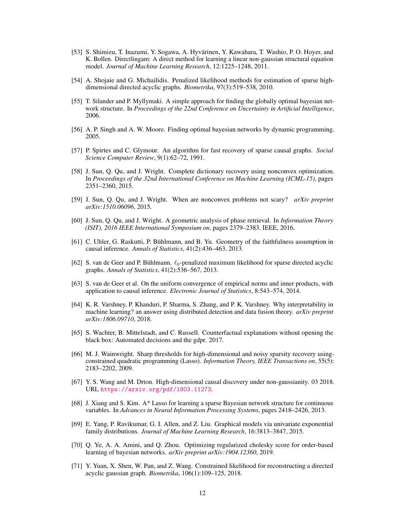- <span id="page-11-12"></span>[53] S. Shimizu, T. Inazumi, Y. Sogawa, A. Hyvärinen, Y. Kawahara, T. Washio, P. O. Hoyer, and K. Bollen. Directlingam: A direct method for learning a linear non-gaussian structural equation model. *Journal of Machine Learning Research*, 12:1225–1248, 2011.
- <span id="page-11-5"></span>[54] A. Shojaie and G. Michailidis. Penalized likelihood methods for estimation of sparse highdimensional directed acyclic graphs. *Biometrika*, 97(3):519–538, 2010.
- <span id="page-11-8"></span>[55] T. Silander and P. Myllymaki. A simple approach for finding the globally optimal bayesian network structure. In *Proceedings of the 22nd Conference on Uncertainty in Artificial Intelligence*, 2006.
- <span id="page-11-9"></span>[56] A. P. Singh and A. W. Moore. Finding optimal bayesian networks by dynamic programming. 2005.
- <span id="page-11-7"></span>[57] P. Spirtes and C. Glymour. An algorithm for fast recovery of sparse causal graphs. *Social Science Computer Review*, 9(1):62–72, 1991.
- <span id="page-11-2"></span>[58] J. Sun, Q. Qu, and J. Wright. Complete dictionary recovery using nonconvex optimization. In *Proceedings of the 32nd International Conference on Machine Learning (ICML-15)*, pages 2351–2360, 2015.
- <span id="page-11-18"></span>[59] J. Sun, Q. Qu, and J. Wright. When are nonconvex problems not scary? *arXiv preprint arXiv:1510.06096*, 2015.
- <span id="page-11-14"></span>[60] J. Sun, Q. Qu, and J. Wright. A geometric analysis of phase retrieval. In *Information Theory (ISIT), 2016 IEEE International Symposium on*, pages 2379–2383. IEEE, 2016.
- <span id="page-11-3"></span>[61] C. Uhler, G. Raskutti, P. Bühlmann, and B. Yu. Geometry of the faithfulness assumption in causal inference. *Annals of Statistics*, 41(2):436–463, 2013.
- <span id="page-11-10"></span>[62] S. van de Geer and P. Bühlmann.  $\ell_0$ -penalized maximum likelihood for sparse directed acyclic graphs. *Annals of Statistics*, 41(2):536–567, 2013.
- <span id="page-11-15"></span>[63] S. van de Geer et al. On the uniform convergence of empirical norms and inner products, with application to causal inference. *Electronic Journal of Statistics*, 8:543–574, 2014.
- <span id="page-11-0"></span>[64] K. R. Varshney, P. Khanduri, P. Sharma, S. Zhang, and P. K. Varshney. Why interpretability in machine learning? an answer using distributed detection and data fusion theory. *arXiv preprint arXiv:1806.09710*, 2018.
- <span id="page-11-1"></span>[65] S. Wachter, B. Mittelstadt, and C. Russell. Counterfactual explanations without opening the black box: Automated decisions and the gdpr. 2017.
- <span id="page-11-16"></span>[66] M. J. Wainwright. Sharp thresholds for high-dimensional and noisy sparsity recovery usingconstrained quadratic programming (Lasso). *Information Theory, IEEE Transactions on*, 55(5): 2183–2202, 2009.
- <span id="page-11-11"></span>[67] Y. S. Wang and M. Drton. High-dimensional causal discovery under non-gaussianity. 03 2018. URL <https://arxiv.org/pdf/1803.11273>.
- <span id="page-11-6"></span>[68] J. Xiang and S. Kim. A\* Lasso for learning a sparse Bayesian network structure for continuous variables. In *Advances in Neural Information Processing Systems*, pages 2418–2426, 2013.
- <span id="page-11-17"></span>[69] E. Yang, P. Ravikumar, G. I. Allen, and Z. Liu. Graphical models via univariate exponential family distributions. *Journal of Machine Learning Research*, 16:3813–3847, 2015.
- <span id="page-11-4"></span>[70] Q. Ye, A. A. Amini, and Q. Zhou. Optimizing regularized cholesky score for order-based learning of bayesian networks. *arXiv preprint arXiv:1904.12360*, 2019.
- <span id="page-11-13"></span>[71] Y. Yuan, X. Shen, W. Pan, and Z. Wang. Constrained likelihood for reconstructing a directed acyclic gaussian graph. *Biometrika*, 106(1):109–125, 2018.